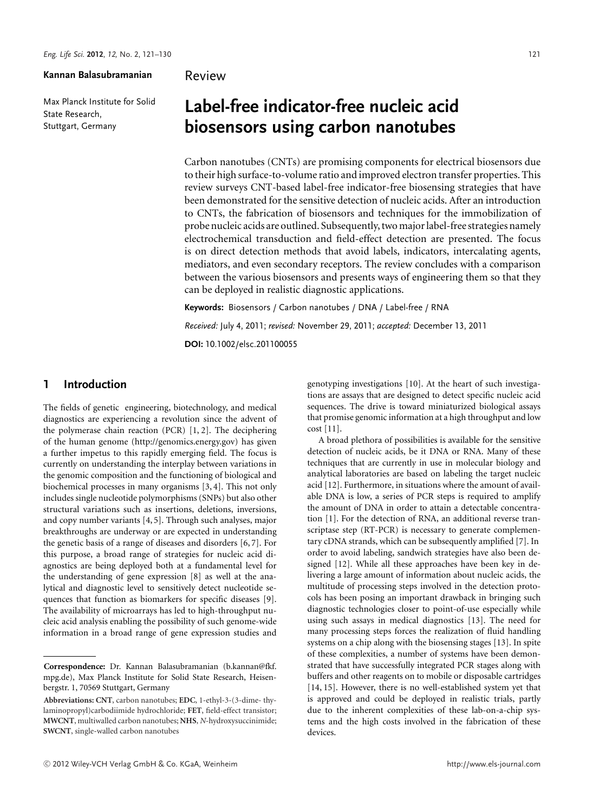#### **Kannan Balasubramanian**

Max Planck Institute for Solid State Research, Stuttgart, Germany

#### Review

# **Label-free indicator-free nucleic acid biosensors using carbon nanotubes**

Carbon nanotubes (CNTs) are promising components for electrical biosensors due to their high surface-to-volume ratio and improved electron transfer properties. This review surveys CNT-based label-free indicator-free biosensing strategies that have been demonstrated for the sensitive detection of nucleic acids. After an introduction to CNTs, the fabrication of biosensors and techniques for the immobilization of probe nucleic acids are outlined. Subsequently, two major label-free strategies namely electrochemical transduction and field-effect detection are presented. The focus is on direct detection methods that avoid labels, indicators, intercalating agents, mediators, and even secondary receptors. The review concludes with a comparison between the various biosensors and presents ways of engineering them so that they can be deployed in realistic diagnostic applications.

**Keywords:** Biosensors / Carbon nanotubes / DNA / Label-free / RNA *Received:* July 4, 2011; *revised:* November 29, 2011; *accepted:* December 13, 2011

**DOI:** 10.1002/elsc.201100055

#### **1 Introduction**

The fields of genetic engineering, biotechnology, and medical diagnostics are experiencing a revolution since the advent of the polymerase chain reaction (PCR) [1, 2]. The deciphering of the human genome (http://genomics.energy.gov) has given a further impetus to this rapidly emerging field. The focus is currently on understanding the interplay between variations in the genomic composition and the functioning of biological and biochemical processes in many organisms [3, 4]. This not only includes single nucleotide polymorphisms (SNPs) but also other structural variations such as insertions, deletions, inversions, and copy number variants [4, 5]. Through such analyses, major breakthroughs are underway or are expected in understanding the genetic basis of a range of diseases and disorders [6, 7]. For this purpose, a broad range of strategies for nucleic acid diagnostics are being deployed both at a fundamental level for the understanding of gene expression [8] as well at the analytical and diagnostic level to sensitively detect nucleotide sequences that function as biomarkers for specific diseases [9]. The availability of microarrays has led to high-throughput nucleic acid analysis enabling the possibility of such genome-wide information in a broad range of gene expression studies and genotyping investigations [10]. At the heart of such investigations are assays that are designed to detect specific nucleic acid sequences. The drive is toward miniaturized biological assays that promise genomic information at a high throughput and low cost [11].

A broad plethora of possibilities is available for the sensitive detection of nucleic acids, be it DNA or RNA. Many of these techniques that are currently in use in molecular biology and analytical laboratories are based on labeling the target nucleic acid [12]. Furthermore, in situations where the amount of available DNA is low, a series of PCR steps is required to amplify the amount of DNA in order to attain a detectable concentration [1]. For the detection of RNA, an additional reverse transcriptase step (RT-PCR) is necessary to generate complementary cDNA strands, which can be subsequently amplified [7]. In order to avoid labeling, sandwich strategies have also been designed [12]. While all these approaches have been key in delivering a large amount of information about nucleic acids, the multitude of processing steps involved in the detection protocols has been posing an important drawback in bringing such diagnostic technologies closer to point-of-use especially while using such assays in medical diagnostics [13]. The need for many processing steps forces the realization of fluid handling systems on a chip along with the biosensing stages [13]. In spite of these complexities, a number of systems have been demonstrated that have successfully integrated PCR stages along with buffers and other reagents on to mobile or disposable cartridges [14, 15]. However, there is no well-established system yet that is approved and could be deployed in realistic trials, partly due to the inherent complexities of these lab-on-a-chip systems and the high costs involved in the fabrication of these devices.

**Correspondence:** Dr. Kannan Balasubramanian (b.kannan@fkf. mpg.de), Max Planck Institute for Solid State Research, Heisenbergstr. 1, 70569 Stuttgart, Germany

**Abbreviations: CNT**, carbon nanotubes; **EDC**, 1-ethyl-3-(3-dime- thylaminopropyl)carbodiimide hydrochloride; **FET**, field-effect transistor; **MWCNT**, multiwalled carbon nanotubes; **NHS**, *N*-hydroxysuccinimide; **SWCNT**, single-walled carbon nanotubes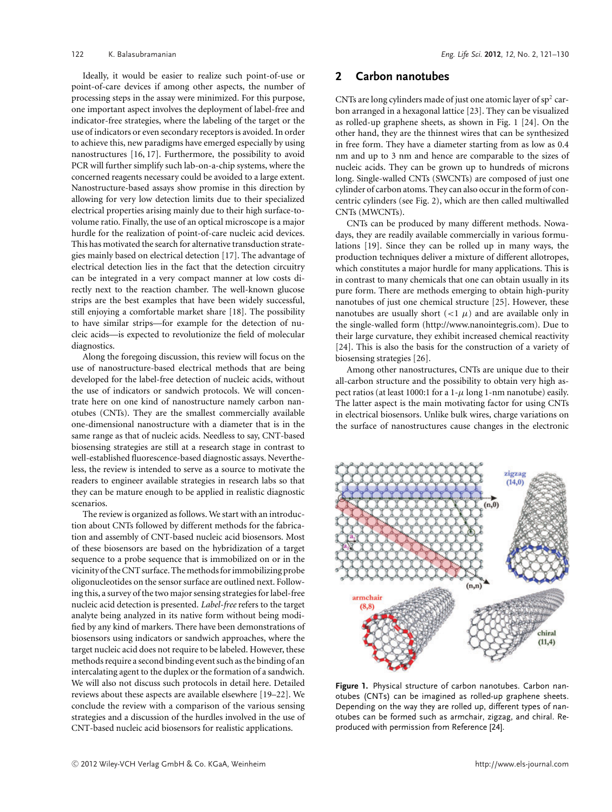Ideally, it would be easier to realize such point-of-use or point-of-care devices if among other aspects, the number of processing steps in the assay were minimized. For this purpose, one important aspect involves the deployment of label-free and indicator-free strategies, where the labeling of the target or the use of indicators or even secondary receptors is avoided. In order to achieve this, new paradigms have emerged especially by using nanostructures [16, 17]. Furthermore, the possibility to avoid PCR will further simplify such lab-on-a-chip systems, where the concerned reagents necessary could be avoided to a large extent. Nanostructure-based assays show promise in this direction by allowing for very low detection limits due to their specialized electrical properties arising mainly due to their high surface-tovolume ratio. Finally, the use of an optical microscope is a major hurdle for the realization of point-of-care nucleic acid devices. This has motivated the search for alternative transduction strategies mainly based on electrical detection [17]. The advantage of electrical detection lies in the fact that the detection circuitry can be integrated in a very compact manner at low costs directly next to the reaction chamber. The well-known glucose strips are the best examples that have been widely successful, still enjoying a comfortable market share [18]. The possibility to have similar strips—for example for the detection of nucleic acids—is expected to revolutionize the field of molecular diagnostics.

Along the foregoing discussion, this review will focus on the use of nanostructure-based electrical methods that are being developed for the label-free detection of nucleic acids, without the use of indicators or sandwich protocols. We will concentrate here on one kind of nanostructure namely carbon nanotubes (CNTs). They are the smallest commercially available one-dimensional nanostructure with a diameter that is in the same range as that of nucleic acids. Needless to say, CNT-based biosensing strategies are still at a research stage in contrast to well-established fluorescence-based diagnostic assays. Nevertheless, the review is intended to serve as a source to motivate the readers to engineer available strategies in research labs so that they can be mature enough to be applied in realistic diagnostic scenarios.

The review is organized as follows. We start with an introduction about CNTs followed by different methods for the fabrication and assembly of CNT-based nucleic acid biosensors. Most of these biosensors are based on the hybridization of a target sequence to a probe sequence that is immobilized on or in the vicinity of the CNT surface. Themethodsfor immobilizing probe oligonucleotides on the sensor surface are outlined next. Following this, a survey of the two major sensing strategies for label-free nucleic acid detection is presented. *Label-free* refers to the target analyte being analyzed in its native form without being modified by any kind of markers. There have been demonstrations of biosensors using indicators or sandwich approaches, where the target nucleic acid does not require to be labeled. However, these methods require a second binding event such as the binding of an intercalating agent to the duplex or the formation of a sandwich. We will also not discuss such protocols in detail here. Detailed reviews about these aspects are available elsewhere [19–22]. We conclude the review with a comparison of the various sensing strategies and a discussion of the hurdles involved in the use of CNT-based nucleic acid biosensors for realistic applications.

## **2 Carbon nanotubes**

CNTs are long cylinders made of just one atomic layer of  $sp<sup>2</sup>$  carbon arranged in a hexagonal lattice [23]. They can be visualized as rolled-up graphene sheets, as shown in Fig. 1 [24]. On the other hand, they are the thinnest wires that can be synthesized in free form. They have a diameter starting from as low as 0.4 nm and up to 3 nm and hence are comparable to the sizes of nucleic acids. They can be grown up to hundreds of microns long. Single-walled CNTs (SWCNTs) are composed of just one cylinder of carbon atoms. They can also occur in the form of concentric cylinders (see Fig. 2), which are then called multiwalled CNTs (MWCNTs).

CNTs can be produced by many different methods. Nowadays, they are readily available commercially in various formulations [19]. Since they can be rolled up in many ways, the production techniques deliver a mixture of different allotropes, which constitutes a major hurdle for many applications. This is in contrast to many chemicals that one can obtain usually in its pure form. There are methods emerging to obtain high-purity nanotubes of just one chemical structure [25]. However, these nanotubes are usually short  $(<1$   $\mu$ ) and are available only in the single-walled form (http://www.nanointegris.com). Due to their large curvature, they exhibit increased chemical reactivity [24]. This is also the basis for the construction of a variety of biosensing strategies [26].

Among other nanostructures, CNTs are unique due to their all-carbon structure and the possibility to obtain very high aspect ratios (at least 1000:1 for a  $1-\mu$  long 1-nm nanotube) easily. The latter aspect is the main motivating factor for using CNTs in electrical biosensors. Unlike bulk wires, charge variations on the surface of nanostructures cause changes in the electronic



**Figure 1.** Physical structure of carbon nanotubes. Carbon nanotubes (CNTs) can be imagined as rolled-up graphene sheets. Depending on the way they are rolled up, different types of nanotubes can be formed such as armchair, zigzag, and chiral. Reproduced with permission from Reference [24].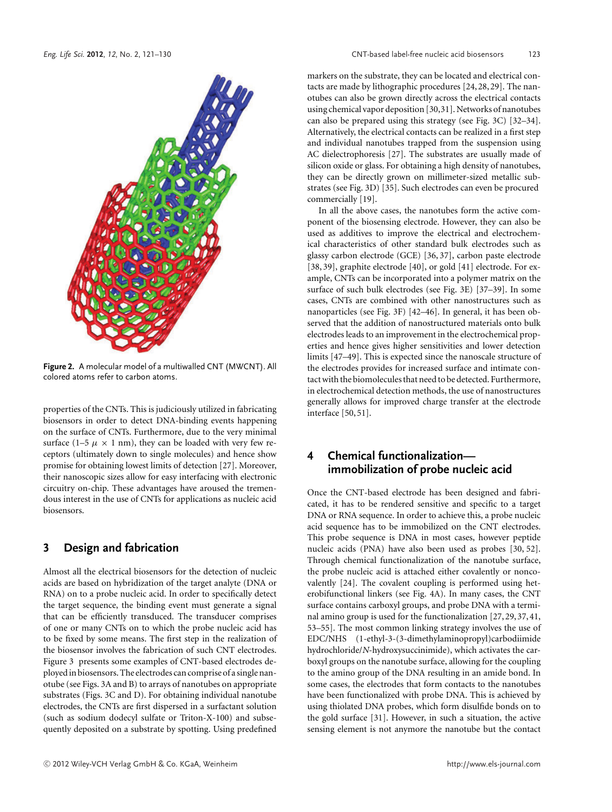

**Figure 2.** A molecular model of a multiwalled CNT (MWCNT). All colored atoms refer to carbon atoms.

properties of the CNTs. This is judiciously utilized in fabricating biosensors in order to detect DNA-binding events happening on the surface of CNTs. Furthermore, due to the very minimal surface (1–5  $\mu$  × 1 nm), they can be loaded with very few receptors (ultimately down to single molecules) and hence show promise for obtaining lowest limits of detection [27]. Moreover, their nanoscopic sizes allow for easy interfacing with electronic circuitry on-chip. These advantages have aroused the tremendous interest in the use of CNTs for applications as nucleic acid biosensors.

# **3 Design and fabrication**

Almost all the electrical biosensors for the detection of nucleic acids are based on hybridization of the target analyte (DNA or RNA) on to a probe nucleic acid. In order to specifically detect the target sequence, the binding event must generate a signal that can be efficiently transduced. The transducer comprises of one or many CNTs on to which the probe nucleic acid has to be fixed by some means. The first step in the realization of the biosensor involves the fabrication of such CNT electrodes. Figure 3 presents some examples of CNT-based electrodes deployedin biosensors. The electrodes can comprise of a single nanotube (see Figs. 3A and B) to arrays of nanotubes on appropriate substrates (Figs. 3C and D). For obtaining individual nanotube electrodes, the CNTs are first dispersed in a surfactant solution (such as sodium dodecyl sulfate or Triton-X-100) and subsequently deposited on a substrate by spotting. Using predefined markers on the substrate, they can be located and electrical contacts are made by lithographic procedures [24, 28, 29]. The nanotubes can also be grown directly across the electrical contacts using chemical vapor deposition [30,31]. Networks of nanotubes can also be prepared using this strategy (see Fig. 3C) [32–34]. Alternatively, the electrical contacts can be realized in a first step and individual nanotubes trapped from the suspension using AC dielectrophoresis [27]. The substrates are usually made of silicon oxide or glass. For obtaining a high density of nanotubes, they can be directly grown on millimeter-sized metallic substrates (see Fig. 3D) [35]. Such electrodes can even be procured commercially [19].

In all the above cases, the nanotubes form the active component of the biosensing electrode. However, they can also be used as additives to improve the electrical and electrochemical characteristics of other standard bulk electrodes such as glassy carbon electrode (GCE) [36, 37], carbon paste electrode [38, 39], graphite electrode [40], or gold [41] electrode. For example, CNTs can be incorporated into a polymer matrix on the surface of such bulk electrodes (see Fig. 3E) [37–39]. In some cases, CNTs are combined with other nanostructures such as nanoparticles (see Fig. 3F) [42–46]. In general, it has been observed that the addition of nanostructured materials onto bulk electrodes leads to an improvement in the electrochemical properties and hence gives higher sensitivities and lower detection limits [47–49]. This is expected since the nanoscale structure of the electrodes provides for increased surface and intimate contact with the biomolecules that need to be detected. Furthermore, in electrochemical detection methods, the use of nanostructures generally allows for improved charge transfer at the electrode interface [50, 51].

# **4 Chemical functionalization immobilization of probe nucleic acid**

Once the CNT-based electrode has been designed and fabricated, it has to be rendered sensitive and specific to a target DNA or RNA sequence. In order to achieve this, a probe nucleic acid sequence has to be immobilized on the CNT electrodes. This probe sequence is DNA in most cases, however peptide nucleic acids (PNA) have also been used as probes [30, 52]. Through chemical functionalization of the nanotube surface, the probe nucleic acid is attached either covalently or noncovalently [24]. The covalent coupling is performed using heterobifunctional linkers (see Fig. 4A). In many cases, the CNT surface contains carboxyl groups, and probe DNA with a terminal amino group is used for the functionalization [27, 29, 37, 41, 53–55]. The most common linking strategy involves the use of EDC/NHS (1-ethyl-3-(3-dimethylaminopropyl)carbodiimide hydrochloride/*N*-hydroxysuccinimide), which activates the carboxyl groups on the nanotube surface, allowing for the coupling to the amino group of the DNA resulting in an amide bond. In some cases, the electrodes that form contacts to the nanotubes have been functionalized with probe DNA. This is achieved by using thiolated DNA probes, which form disulfide bonds on to the gold surface [31]. However, in such a situation, the active sensing element is not anymore the nanotube but the contact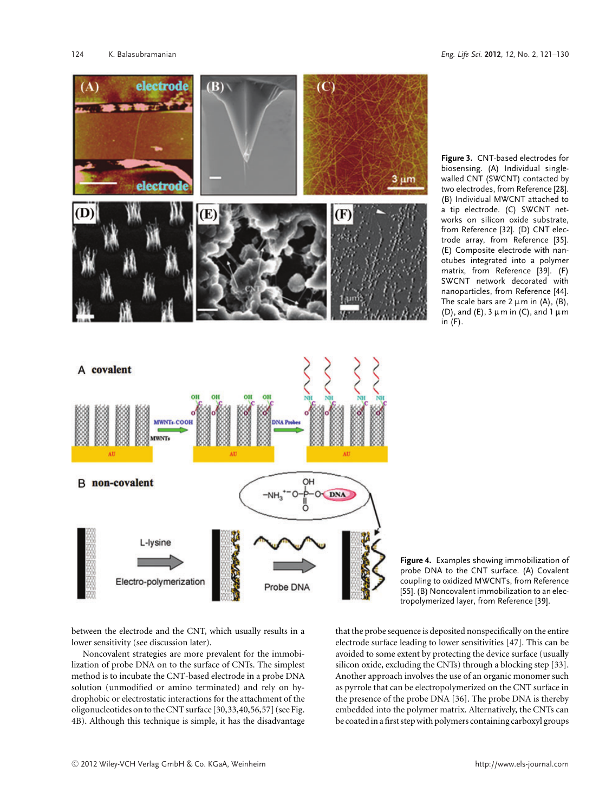





**Figure 4.** Examples showing immobilization of probe DNA to the CNT surface. (A) Covalent coupling to oxidized MWCNTs, from Reference [55]. (B) Noncovalent immobilization to an electropolymerized layer, from Reference [39].

between the electrode and the CNT, which usually results in a lower sensitivity (see discussion later).

Noncovalent strategies are more prevalent for the immobilization of probe DNA on to the surface of CNTs. The simplest method is to incubate the CNT-based electrode in a probe DNA solution (unmodified or amino terminated) and rely on hydrophobic or electrostatic interactions for the attachment of the oligonucleotides on to the CNT surface [30,33,40,56,57] (see Fig. 4B). Although this technique is simple, it has the disadvantage that the probe sequence is deposited nonspecifically on the entire electrode surface leading to lower sensitivities [47]. This can be avoided to some extent by protecting the device surface (usually silicon oxide, excluding the CNTs) through a blocking step [33]. Another approach involves the use of an organic monomer such as pyrrole that can be electropolymerized on the CNT surface in the presence of the probe DNA [36]. The probe DNA is thereby embedded into the polymer matrix. Alternatively, the CNTs can be coated in a first step with polymers containing carboxyl groups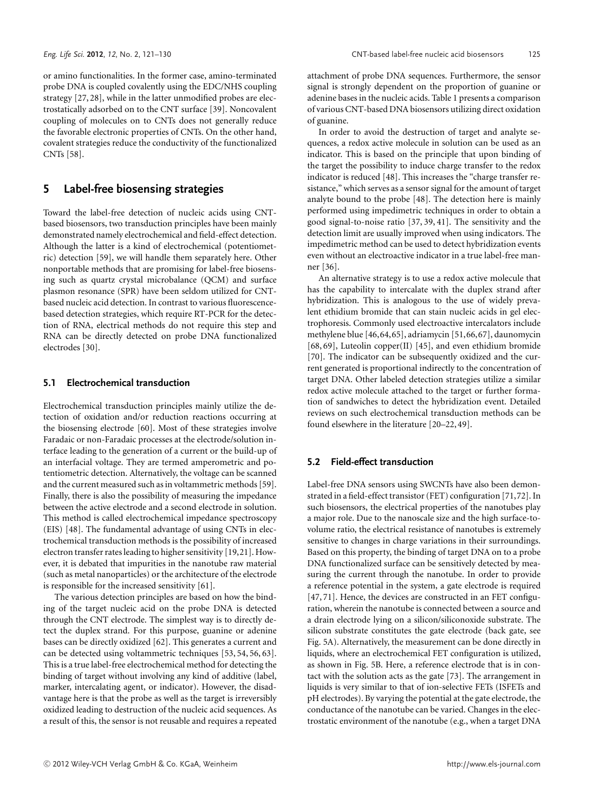or amino functionalities. In the former case, amino-terminated probe DNA is coupled covalently using the EDC/NHS coupling strategy [27, 28], while in the latter unmodified probes are electrostatically adsorbed on to the CNT surface [39]. Noncovalent coupling of molecules on to CNTs does not generally reduce the favorable electronic properties of CNTs. On the other hand, covalent strategies reduce the conductivity of the functionalized CNTs [58].

## **5 Label-free biosensing strategies**

Toward the label-free detection of nucleic acids using CNTbased biosensors, two transduction principles have been mainly demonstrated namely electrochemical and field-effect detection. Although the latter is a kind of electrochemical (potentiometric) detection [59], we will handle them separately here. Other nonportable methods that are promising for label-free biosensing such as quartz crystal microbalance (QCM) and surface plasmon resonance (SPR) have been seldom utilized for CNTbased nucleic acid detection. In contrast to various fluorescencebased detection strategies, which require RT-PCR for the detection of RNA, electrical methods do not require this step and RNA can be directly detected on probe DNA functionalized electrodes [30].

#### **5.1 Electrochemical transduction**

Electrochemical transduction principles mainly utilize the detection of oxidation and/or reduction reactions occurring at the biosensing electrode [60]. Most of these strategies involve Faradaic or non-Faradaic processes at the electrode/solution interface leading to the generation of a current or the build-up of an interfacial voltage. They are termed amperometric and potentiometric detection. Alternatively, the voltage can be scanned and the current measured such as in voltammetric methods [59]. Finally, there is also the possibility of measuring the impedance between the active electrode and a second electrode in solution. This method is called electrochemical impedance spectroscopy (EIS) [48]. The fundamental advantage of using CNTs in electrochemical transduction methods is the possibility of increased electron transfer rates leading to higher sensitivity [19,21]. However, it is debated that impurities in the nanotube raw material (such as metal nanoparticles) or the architecture of the electrode is responsible for the increased sensitivity [61].

The various detection principles are based on how the binding of the target nucleic acid on the probe DNA is detected through the CNT electrode. The simplest way is to directly detect the duplex strand. For this purpose, guanine or adenine bases can be directly oxidized [62]. This generates a current and can be detected using voltammetric techniques [53, 54, 56, 63]. This is a true label-free electrochemical method for detecting the binding of target without involving any kind of additive (label, marker, intercalating agent, or indicator). However, the disadvantage here is that the probe as well as the target is irreversibly oxidized leading to destruction of the nucleic acid sequences. As a result of this, the sensor is not reusable and requires a repeated attachment of probe DNA sequences. Furthermore, the sensor signal is strongly dependent on the proportion of guanine or adenine bases in the nucleic acids. Table 1 presents a comparison of various CNT-based DNA biosensors utilizing direct oxidation of guanine.

In order to avoid the destruction of target and analyte sequences, a redox active molecule in solution can be used as an indicator. This is based on the principle that upon binding of the target the possibility to induce charge transfer to the redox indicator is reduced [48]. This increases the "charge transfer resistance," which serves as a sensor signal for the amount of target analyte bound to the probe [48]. The detection here is mainly performed using impedimetric techniques in order to obtain a good signal-to-noise ratio [37, 39, 41]. The sensitivity and the detection limit are usually improved when using indicators. The impedimetric method can be used to detect hybridization events even without an electroactive indicator in a true label-free manner [36].

An alternative strategy is to use a redox active molecule that has the capability to intercalate with the duplex strand after hybridization. This is analogous to the use of widely prevalent ethidium bromide that can stain nucleic acids in gel electrophoresis. Commonly used electroactive intercalators include methylene blue [46,64,65], adriamycin [51,66,67], daunomycin [68, 69], Luteolin copper(II) [45], and even ethidium bromide [70]. The indicator can be subsequently oxidized and the current generated is proportional indirectly to the concentration of target DNA. Other labeled detection strategies utilize a similar redox active molecule attached to the target or further formation of sandwiches to detect the hybridization event. Detailed reviews on such electrochemical transduction methods can be found elsewhere in the literature [20–22, 49].

#### **5.2 Field-effect transduction**

Label-free DNA sensors using SWCNTs have also been demonstrated in a field-effect transistor (FET) configuration [71,72]. In such biosensors, the electrical properties of the nanotubes play a major role. Due to the nanoscale size and the high surface-tovolume ratio, the electrical resistance of nanotubes is extremely sensitive to changes in charge variations in their surroundings. Based on this property, the binding of target DNA on to a probe DNA functionalized surface can be sensitively detected by measuring the current through the nanotube. In order to provide a reference potential in the system, a gate electrode is required [47, 71]. Hence, the devices are constructed in an FET configuration, wherein the nanotube is connected between a source and a drain electrode lying on a silicon/siliconoxide substrate. The silicon substrate constitutes the gate electrode (back gate, see Fig. 5A). Alternatively, the measurement can be done directly in liquids, where an electrochemical FET configuration is utilized, as shown in Fig. 5B. Here, a reference electrode that is in contact with the solution acts as the gate [73]. The arrangement in liquids is very similar to that of ion-selective FETs (ISFETs and pH electrodes). By varying the potential at the gate electrode, the conductance of the nanotube can be varied. Changes in the electrostatic environment of the nanotube (e.g., when a target DNA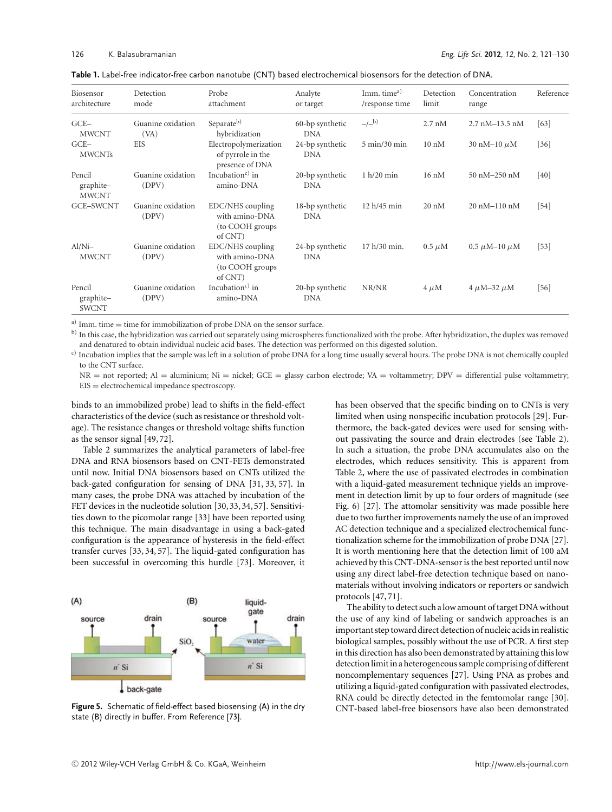| Biosensor<br>architecture           | Detection<br>mode          | Probe<br>attachment                                               | Analyte<br>or target          | Imm. time $a$ )<br>/response time | Detection<br>limit | Concentration<br>range | Reference |
|-------------------------------------|----------------------------|-------------------------------------------------------------------|-------------------------------|-----------------------------------|--------------------|------------------------|-----------|
| $GCE-$<br><b>MWCNT</b>              | Guanine oxidation<br>(VA)  | Separateb)<br>hybridization                                       | 60-bp synthetic<br><b>DNA</b> | $-/-^{b)}$                        | $2.7$ nM           | $2.7$ nM $-13.5$ nM    | [63]      |
| $GCE-$<br><b>MWCNTs</b>             | EIS                        | Electropolymerization<br>of pyrrole in the<br>presence of DNA     | 24-bp synthetic<br><b>DNA</b> | $5 \text{ min}/30 \text{ min}$    | $10 \text{ nM}$    | 30 nM $-10 \mu$ M      | $[36]$    |
| Pencil<br>graphite-<br><b>MWCNT</b> | Guanine oxidation<br>(DPV) | Incubation <sup>c)</sup> in<br>amino-DNA                          | 20-bp synthetic<br><b>DNA</b> | 1 h/20 min                        | $16 \text{ nM}$    | 50 nM-250 nM           | [40]      |
| <b>GCE-SWCNT</b>                    | Guanine oxidation<br>(DPV) | EDC/NHS coupling<br>with amino-DNA<br>(to COOH groups)<br>of CNT) | 18-bp synthetic<br><b>DNA</b> | 12 h/45 min                       | $20 \text{ nM}$    | 20 nM-110 nM           | $[54]$    |
| $Al/Ni-$<br><b>MWCNT</b>            | Guanine oxidation<br>(DPV) | EDC/NHS coupling<br>with amino-DNA<br>(to COOH groups<br>of CNT)  | 24-bp synthetic<br><b>DNA</b> | 17 h/30 min.                      | $0.5 \mu M$        | $0.5 \mu$ M-10 $\mu$ M | $[53]$    |
| Pencil<br>graphite-<br><b>SWCNT</b> | Guanine oxidation<br>(DPV) | Incubation <sup>c)</sup> in<br>amino-DNA                          | 20-bp synthetic<br><b>DNA</b> | NR/NR                             | $4 \mu M$          | $4 \mu$ M-32 $\mu$ M   | $[56]$    |

**Table 1.** Label-free indicator-free carbon nanotube (CNT) based electrochemical biosensors for the detection of DNA.

 $a)$  Imm. time  $=$  time for immobilization of probe DNA on the sensor surface.

b) In this case, the hybridization was carried out separately using microspheres functionalized with the probe. After hybridization, the duplex was removed and denatured to obtain individual nucleic acid bases. The detection was performed on this digested solution.

c) Incubation implies that the sample was left in a solution of probe DNA for a long time usually several hours. The probe DNA is not chemically coupled to the CNT surface.

NR = not reported; Al = aluminium; Ni = nickel; GCE = glassy carbon electrode; VA = voltammetry; DPV = differential pulse voltammetry; EIS = electrochemical impedance spectroscopy.

binds to an immobilized probe) lead to shifts in the field-effect characteristics of the device (such as resistance or threshold voltage). The resistance changes or threshold voltage shifts function as the sensor signal [49, 72].

Table 2 summarizes the analytical parameters of label-free DNA and RNA biosensors based on CNT-FETs demonstrated until now. Initial DNA biosensors based on CNTs utilized the back-gated configuration for sensing of DNA [31, 33, 57]. In many cases, the probe DNA was attached by incubation of the FET devices in the nucleotide solution [30, 33, 34, 57]. Sensitivities down to the picomolar range [33] have been reported using this technique. The main disadvantage in using a back-gated configuration is the appearance of hysteresis in the field-effect transfer curves [33, 34, 57]. The liquid-gated configuration has been successful in overcoming this hurdle [73]. Moreover, it



**Figure 5.** Schematic of field-effect based biosensing (A) in the dry state (B) directly in buffer. From Reference [73].

has been observed that the specific binding on to CNTs is very limited when using nonspecific incubation protocols [29]. Furthermore, the back-gated devices were used for sensing without passivating the source and drain electrodes (see Table 2). In such a situation, the probe DNA accumulates also on the electrodes, which reduces sensitivity. This is apparent from Table 2, where the use of passivated electrodes in combination with a liquid-gated measurement technique yields an improvement in detection limit by up to four orders of magnitude (see Fig. 6) [27]. The attomolar sensitivity was made possible here due to two further improvements namely the use of an improved AC detection technique and a specialized electrochemical functionalization scheme for the immobilization of probe DNA [27]. It is worth mentioning here that the detection limit of 100 aM achieved by this CNT-DNA-sensor is the best reported until now using any direct label-free detection technique based on nanomaterials without involving indicators or reporters or sandwich protocols [47, 71].

The ability to detect such a low amount of target DNA without the use of any kind of labeling or sandwich approaches is an important step toward direct detection of nucleic acids in realistic biological samples, possibly without the use of PCR. A first step in this direction has also been demonstrated by attaining this low detection limit in a heterogeneous sample comprising of different noncomplementary sequences [27]. Using PNA as probes and utilizing a liquid-gated configuration with passivated electrodes, RNA could be directly detected in the femtomolar range [30]. CNT-based label-free biosensors have also been demonstrated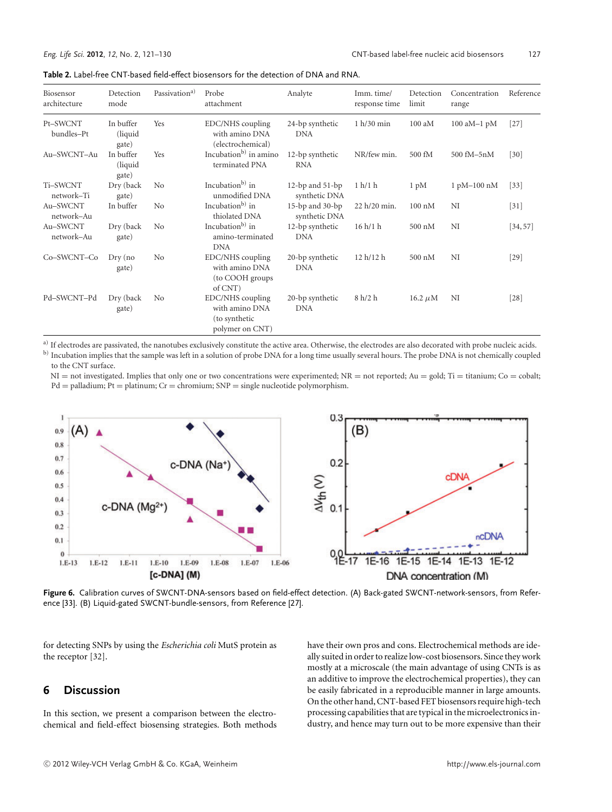| Biosensor<br>architecture | Detection<br>mode              | Passivation <sup>a)</sup> | Probe<br>attachment                                                     | Analyte                          | Imm. time/<br>response time | Detection<br>limit | Concentration<br>range | Reference |
|---------------------------|--------------------------------|---------------------------|-------------------------------------------------------------------------|----------------------------------|-----------------------------|--------------------|------------------------|-----------|
| Pt-SWCNT<br>bundles-Pt    | In buffer<br>(liquid)<br>gate) | Yes                       | EDC/NHS coupling<br>with amino DNA<br>(electrochemical)                 | 24-bp synthetic<br><b>DNA</b>    | 1 h/30 min                  | 100 aM             | $100$ aM $-1$ pM       | $[27]$    |
| Au-SWCNT-Au               | In buffer<br>(liquid<br>gate)  | Yes                       | Incubation <sup>b</sup> in amino<br>terminated PNA                      | 12-bp synthetic<br><b>RNA</b>    | NR/few min.                 | 500 fM             | 500 fM-5nM             | $[30]$    |
| Ti-SWCNT<br>network-Ti    | Dry (back<br>gate)             | N <sub>0</sub>            | Incubation <sup>b</sup> in<br>unmodified DNA                            | 12-bp and 51-bp<br>synthetic DNA | 1 h/1 h                     | $1 \text{ pM}$     | $1 pM-100 nM$          | $[33]$    |
| Au-SWCNT<br>network-Au    | In buffer                      | N <sub>0</sub>            | Incubation <sup>b</sup> in<br>thiolated DNA                             | 15-bp and 30-bp<br>synthetic DNA | 22 h/20 min.                | $100 \text{ nM}$   | NI                     | $[31]$    |
| Au-SWCNT<br>network-Au    | Dry (back<br>gate)             | No                        | Incubation <sup>b)</sup> in<br>amino-terminated<br><b>DNA</b>           | 12-bp synthetic<br><b>DNA</b>    | 16 h/1 h                    | $500 \text{ nM}$   | NI                     | [34, 57]  |
| Co-SWCNT-Co               | $Dry$ (no<br>gate)             | No                        | EDC/NHS coupling<br>with amino DNA<br>(to COOH groups)<br>of CNT)       | 20-bp synthetic<br><b>DNA</b>    | 12 h/12 h                   | $500 \text{ nM}$   | NI                     | $[29]$    |
| Pd-SWCNT-Pd               | Dry (back<br>gate)             | No                        | EDC/NHS coupling<br>with amino DNA<br>(to synthetic)<br>polymer on CNT) | 20-bp synthetic<br><b>DNA</b>    | 8 h/2 h                     | 16.2 $\mu$ M       | NI                     | $[28]$    |

| <b>Table 2.</b> Label-free CNT-based field-effect biosensors for the detection of DNA and RNA. |  |  |  |
|------------------------------------------------------------------------------------------------|--|--|--|
|------------------------------------------------------------------------------------------------|--|--|--|

a) If electrodes are passivated, the nanotubes exclusively constitute the active area. Otherwise, the electrodes are also decorated with probe nucleic acids.

b) Incubation implies that the sample was left in a solution of probe DNA for a long time usually several hours. The probe DNA is not chemically coupled to the CNT surface.

 $NI = not$  investigated. Implies that only one or two concentrations were experimented;  $NR = not$  reported;  $Au =$  gold;  $Ti =$  titanium;  $Co =$  cobalt; Pd = palladium; Pt = platinum; Cr = chromium; SNP = single nucleotide polymorphism.



**Figure 6.** Calibration curves of SWCNT-DNA-sensors based on field-effect detection. (A) Back-gated SWCNT-network-sensors, from Reference [33]. (B) Liquid-gated SWCNT-bundle-sensors, from Reference [27].

for detecting SNPs by using the *Escherichia coli* MutS protein as the receptor [32].

# **6 Discussion**

In this section, we present a comparison between the electrochemical and field-effect biosensing strategies. Both methods

have their own pros and cons. Electrochemical methods are ideally suited in order to realize low-cost biosensors. Since they work mostly at a microscale (the main advantage of using CNTs is as an additive to improve the electrochemical properties), they can be easily fabricated in a reproducible manner in large amounts. On the other hand, CNT-based FET biosensors require high-tech processing capabilities that are typical in the microelectronics industry, and hence may turn out to be more expensive than their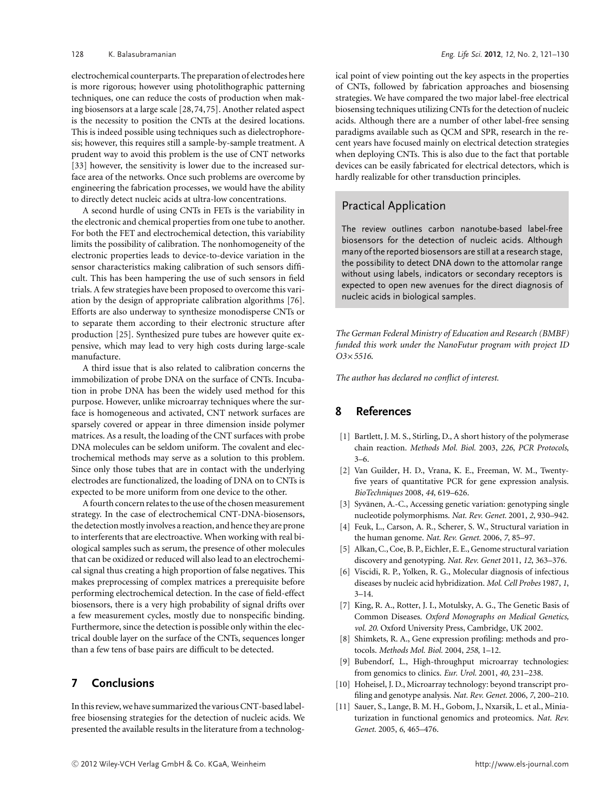electrochemical counterparts. The preparation of electrodes here is more rigorous; however using photolithographic patterning techniques, one can reduce the costs of production when making biosensors at a large scale [28,74,75]. Another related aspect is the necessity to position the CNTs at the desired locations. This is indeed possible using techniques such as dielectrophoresis; however, this requires still a sample-by-sample treatment. A prudent way to avoid this problem is the use of CNT networks [33] however, the sensitivity is lower due to the increased surface area of the networks. Once such problems are overcome by engineering the fabrication processes, we would have the ability to directly detect nucleic acids at ultra-low concentrations.

A second hurdle of using CNTs in FETs is the variability in the electronic and chemical properties from one tube to another. For both the FET and electrochemical detection, this variability limits the possibility of calibration. The nonhomogeneity of the electronic properties leads to device-to-device variation in the sensor characteristics making calibration of such sensors difficult. This has been hampering the use of such sensors in field trials. A few strategies have been proposed to overcome this variation by the design of appropriate calibration algorithms [76]. Efforts are also underway to synthesize monodisperse CNTs or to separate them according to their electronic structure after production [25]. Synthesized pure tubes are however quite expensive, which may lead to very high costs during large-scale manufacture.

A third issue that is also related to calibration concerns the immobilization of probe DNA on the surface of CNTs. Incubation in probe DNA has been the widely used method for this purpose. However, unlike microarray techniques where the surface is homogeneous and activated, CNT network surfaces are sparsely covered or appear in three dimension inside polymer matrices. As a result, the loading of the CNT surfaces with probe DNA molecules can be seldom uniform. The covalent and electrochemical methods may serve as a solution to this problem. Since only those tubes that are in contact with the underlying electrodes are functionalized, the loading of DNA on to CNTs is expected to be more uniform from one device to the other.

A fourth concern relates to the use of the chosen measurement strategy. In the case of electrochemical CNT-DNA-biosensors, the detection mostly involves a reaction, and hence they are prone to interferents that are electroactive. When working with real biological samples such as serum, the presence of other molecules that can be oxidized or reduced will also lead to an electrochemical signal thus creating a high proportion of false negatives. This makes preprocessing of complex matrices a prerequisite before performing electrochemical detection. In the case of field-effect biosensors, there is a very high probability of signal drifts over a few measurement cycles, mostly due to nonspecific binding. Furthermore, since the detection is possible only within the electrical double layer on the surface of the CNTs, sequences longer than a few tens of base pairs are difficult to be detected.

# **7 Conclusions**

In this review,we have summarized the various CNT-based labelfree biosensing strategies for the detection of nucleic acids. We presented the available results in the literature from a technological point of view pointing out the key aspects in the properties of CNTs, followed by fabrication approaches and biosensing strategies. We have compared the two major label-free electrical biosensing techniques utilizing CNTs for the detection of nucleic acids. Although there are a number of other label-free sensing paradigms available such as QCM and SPR, research in the recent years have focused mainly on electrical detection strategies when deploying CNTs. This is also due to the fact that portable devices can be easily fabricated for electrical detectors, which is hardly realizable for other transduction principles.

# Practical Application

The review outlines carbon nanotube-based label-free biosensors for the detection of nucleic acids. Although many of the reported biosensors are still at a research stage, the possibility to detect DNA down to the attomolar range without using labels, indicators or secondary receptors is expected to open new avenues for the direct diagnosis of nucleic acids in biological samples.

*The German Federal Ministry of Education and Research (BMBF) funded this work under the NanoFutur program with project ID O3*×*5516*.

*The author has declared no conflict of interest.*

# **8 References**

- [1] Bartlett, J. M. S., Stirling, D., A short history of the polymerase chain reaction. *Methods Mol. Biol.* 2003, *226*, *PCR Protocols*,  $3-6$
- [2] Van Guilder, H. D., Vrana, K. E., Freeman, W. M., Twentyfive years of quantitative PCR for gene expression analysis. *BioTechniques* 2008, *44*, 619–626.
- [3] Syvänen, A.-C., Accessing genetic variation: genotyping single nucleotide polymorphisms. *Nat. Rev. Genet.* 2001, *2*, 930–942.
- [4] Feuk, L., Carson, A. R., Scherer, S. W., Structural variation in the human genome. *Nat. Rev. Genet.* 2006, *7*, 85–97.
- [5] Alkan, C., Coe, B. P., Eichler, E. E., Genome structural variation discovery and genotyping. *Nat. Rev. Genet* 2011, *12*, 363–376.
- [6] Viscidi, R. P., Yolken, R. G., Molecular diagnosis of infectious diseases by nucleic acid hybridization. *Mol. Cell Probes* 1987, *1*,  $3 - 14.$
- [7] King, R. A., Rotter, J. I., Motulsky, A. G., The Genetic Basis of Common Diseases. *Oxford Monographs on Medical Genetics, vol. 20*. Oxford University Press, Cambridge, UK 2002.
- [8] Shimkets, R. A., Gene expression profiling: methods and protocols. *Methods Mol. Biol.* 2004, *258*, 1–12.
- [9] Bubendorf, L., High-throughput microarray technologies: from genomics to clinics. *Eur. Urol.* 2001, *40*, 231–238.
- [10] Hoheisel, J. D., Microarray technology: beyond transcript profiling and genotype analysis. *Nat. Rev. Genet.* 2006, *7*, 200–210.
- [11] Sauer, S., Lange, B. M. H., Gobom, J., Nxarsik, L. et al., Miniaturization in functional genomics and proteomics. *Nat. Rev. Genet.* 2005, *6*, 465–476.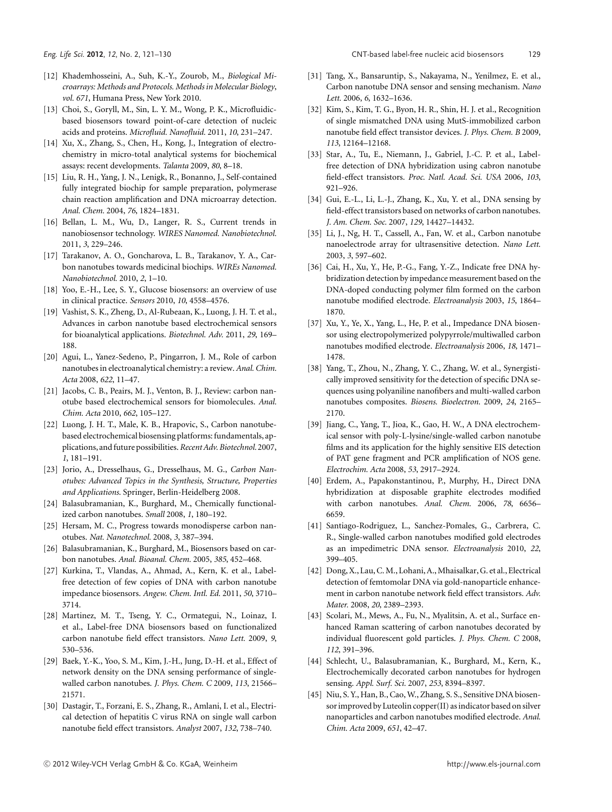- [12] Khademhosseini, A., Suh, K.-Y., Zourob, M., *Biological Microarrays: Methods and Protocols. Methods in Molecular Biology*, *vol. 671*, Humana Press, New York 2010.
- [13] Choi, S., Goryll, M., Sin, L. Y. M., Wong, P. K., Microfluidicbased biosensors toward point-of-care detection of nucleic acids and proteins. *Microfluid. Nanofluid.* 2011, *10*, 231–247.
- [14] Xu, X., Zhang, S., Chen, H., Kong, J., Integration of electrochemistry in micro-total analytical systems for biochemical assays: recent developments. *Talanta* 2009, *80*, 8–18.
- [15] Liu, R. H., Yang, J. N., Lenigk, R., Bonanno, J., Self-contained fully integrated biochip for sample preparation, polymerase chain reaction amplification and DNA microarray detection. *Anal. Chem.* 2004, *76*, 1824–1831.
- [16] Bellan, L. M., Wu, D., Langer, R. S., Current trends in nanobiosensor technology. *WIRES Nanomed. Nanobiotechnol.* 2011, *3*, 229–246.
- [17] Tarakanov, A. O., Goncharova, L. B., Tarakanov, Y. A., Carbon nanotubes towards medicinal biochips. *WIREs Nanomed. Nanobiotechnol.* 2010, *2*, 1–10.
- [18] Yoo, E.-H., Lee, S. Y., Glucose biosensors: an overview of use in clinical practice. *Sensors* 2010, *10*, 4558–4576.
- [19] Vashist, S. K., Zheng, D., Al-Rubeaan, K., Luong, J. H. T. et al., Advances in carbon nanotube based electrochemical sensors for bioanalytical applications. *Biotechnol. Adv.* 2011, *29*, 169– 188.
- [20] Agui, L., Yanez-Sedeno, P., Pingarron, J. M., Role of carbon nanotubes in electroanalytical chemistry: a review.*Anal. Chim. Acta* 2008, *622*, 11–47.
- [21] Jacobs, C. B., Peairs, M. J., Venton, B. J., Review: carbon nanotube based electrochemical sensors for biomolecules. *Anal. Chim. Acta* 2010, *662*, 105–127.
- [22] Luong, J. H. T., Male, K. B., Hrapovic, S., Carbon nanotubebased electrochemical biosensing platforms: fundamentals, applications, andfuture possibilities.*Recent Adv. Biotechnol.* 2007, *1*, 181–191.
- [23] Jorio, A., Dresselhaus, G., Dresselhaus, M. G., *Carbon Nanotubes: Advanced Topics in the Synthesis, Structure, Properties and Applications*. Springer, Berlin-Heidelberg 2008.
- [24] Balasubramanian, K., Burghard, M., Chemically functionalized carbon nanotubes. *Small* 2008, *1*, 180–192.
- [25] Hersam, M. C., Progress towards monodisperse carbon nanotubes. *Nat. Nanotechnol.* 2008, *3*, 387–394.
- [26] Balasubramanian, K., Burghard, M., Biosensors based on carbon nanotubes. *Anal. Bioanal. Chem.* 2005, *385*, 452–468.
- [27] Kurkina, T., Vlandas, A., Ahmad, A., Kern, K. et al., Labelfree detection of few copies of DNA with carbon nanotube impedance biosensors. *Angew. Chem. Intl. Ed.* 2011, *50*, 3710– 3714.
- [28] Martinez, M. T., Tseng, Y. C., Ormategui, N., Loinaz, I. et al., Label-free DNA biosensors based on functionalized carbon nanotube field effect transistors. *Nano Lett.* 2009, *9*, 530–536.
- [29] Baek, Y.-K., Yoo, S. M., Kim, J.-H., Jung, D.-H. et al., Effect of network density on the DNA sensing performance of singlewalled carbon nanotubes. *J. Phys. Chem. C* 2009, *113*, 21566– 21571.
- [30] Dastagir, T., Forzani, E. S., Zhang, R., Amlani, I. et al., Electrical detection of hepatitis C virus RNA on single wall carbon nanotube field effect transistors. *Analyst* 2007, *132*, 738–740.
- [31] Tang, X., Bansaruntip, S., Nakayama, N., Yenilmez, E. et al., Carbon nanotube DNA sensor and sensing mechanism. *Nano Lett.* 2006, *6*, 1632–1636.
- [32] Kim, S., Kim, T. G., Byon, H. R., Shin, H. J. et al., Recognition of single mismatched DNA using MutS-immobilized carbon nanotube field effect transistor devices. *J. Phys. Chem. B* 2009, *113*, 12164–12168.
- [33] Star, A., Tu, E., Niemann, J., Gabriel, J.-C. P. et al., Labelfree detection of DNA hybridization using cabron nanotube field-effect transistors. *Proc. Natl. Acad. Sci. USA* 2006, *103*, 921–926.
- [34] Gui, E.-L., Li, L.-J., Zhang, K., Xu, Y. et al., DNA sensing by field-effect transistors based on networks of carbon nanotubes. *J. Am. Chem. Soc.* 2007, *129*, 14427–14432.
- [35] Li, J., Ng, H. T., Cassell, A., Fan, W. et al., Carbon nanotube nanoelectrode array for ultrasensitive detection. *Nano Lett.* 2003, *3*, 597–602.
- [36] Cai, H., Xu, Y., He, P.-G., Fang, Y.-Z., Indicate free DNA hybridization detection by impedance measurement based on the DNA-doped conducting polymer film formed on the carbon nanotube modified electrode. *Electroanalysis* 2003, *15*, 1864– 1870.
- [37] Xu, Y., Ye, X., Yang, L., He, P. et al., Impedance DNA biosensor using electropolymerized polypyrrole/multiwalled carbon nanotubes modified electrode. *Electroanalysis* 2006, *18*, 1471– 1478.
- [38] Yang, T., Zhou, N., Zhang, Y. C., Zhang, W. et al., Synergistically improved sensitivity for the detection of specific DNA sequences using polyaniline nanofibers and multi-walled carbon nanotubes composites. *Biosens. Bioelectron.* 2009, *24*, 2165– 2170.
- [39] Jiang, C., Yang, T., Jioa, K., Gao, H. W., A DNA electrochemical sensor with poly-L-lysine/single-walled carbon nanotube films and its application for the highly sensitive EIS detection of PAT gene fragment and PCR amplification of NOS gene. *Electrochim. Acta* 2008, *53*, 2917–2924.
- [40] Erdem, A., Papakonstantinou, P., Murphy, H., Direct DNA hybridization at disposable graphite electrodes modified with carbon nanotubes. *Anal. Chem.* 2006, *78*, 6656– 6659.
- [41] Santiago-Rodriguez, L., Sanchez-Pomales, G., Carbrera, C. R., Single-walled carbon nanotubes modified gold electrodes as an impedimetric DNA sensor. *Electroanalysis* 2010, *22*, 399–405.
- [42] Dong, X., Lau, C. M., Lohani, A., Mhaisalkar, G. et al., Electrical detection of femtomolar DNA via gold-nanoparticle enhancement in carbon nanotube network field effect transistors. *Adv. Mater.* 2008, *20*, 2389–2393.
- [43] Scolari, M., Mews, A., Fu, N., Myalitsin, A. et al., Surface enhanced Raman scattering of carbon nanotubes decorated by individual fluorescent gold particles. *J. Phys. Chem. C* 2008, *112*, 391–396.
- [44] Schlecht, U., Balasubramanian, K., Burghard, M., Kern, K., Electrochemically decorated carbon nanotubes for hydrogen sensing. *Appl. Surf. Sci.* 2007, *253*, 8394–8397.
- [45] Niu, S. Y., Han, B., Cao, W., Zhang, S. S., Sensitive DNA biosensor improved by Luteolin copper(II) as indicator based on silver nanoparticles and carbon nanotubes modified electrode. *Anal. Chim. Acta* 2009, *651*, 42–47.